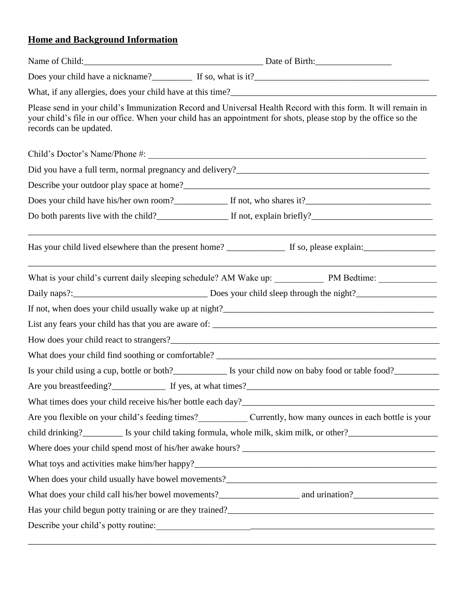## **Home and Background Information**

| records can be updated.                                                                                        | Please send in your child's Immunization Record and Universal Health Record with this form. It will remain in<br>your child's file in our office. When your child has an appointment for shots, please stop by the office so the |  |  |  |  |
|----------------------------------------------------------------------------------------------------------------|----------------------------------------------------------------------------------------------------------------------------------------------------------------------------------------------------------------------------------|--|--|--|--|
|                                                                                                                | Child's Doctor's Name/Phone #:                                                                                                                                                                                                   |  |  |  |  |
|                                                                                                                |                                                                                                                                                                                                                                  |  |  |  |  |
|                                                                                                                |                                                                                                                                                                                                                                  |  |  |  |  |
|                                                                                                                |                                                                                                                                                                                                                                  |  |  |  |  |
|                                                                                                                | Do both parents live with the child?<br>If not, explain briefly?<br>If not, explain briefly?                                                                                                                                     |  |  |  |  |
|                                                                                                                |                                                                                                                                                                                                                                  |  |  |  |  |
|                                                                                                                | What is your child's current daily sleeping schedule? AM Wake up: PM Bedtime: ______________________                                                                                                                             |  |  |  |  |
|                                                                                                                |                                                                                                                                                                                                                                  |  |  |  |  |
|                                                                                                                |                                                                                                                                                                                                                                  |  |  |  |  |
|                                                                                                                |                                                                                                                                                                                                                                  |  |  |  |  |
|                                                                                                                |                                                                                                                                                                                                                                  |  |  |  |  |
|                                                                                                                |                                                                                                                                                                                                                                  |  |  |  |  |
|                                                                                                                |                                                                                                                                                                                                                                  |  |  |  |  |
|                                                                                                                |                                                                                                                                                                                                                                  |  |  |  |  |
|                                                                                                                |                                                                                                                                                                                                                                  |  |  |  |  |
|                                                                                                                | Are you flexible on your child's feeding times? Currently, how many ounces in each bottle is your                                                                                                                                |  |  |  |  |
| child drinking?___________ Is your child taking formula, whole milk, skim milk, or other?_____________________ |                                                                                                                                                                                                                                  |  |  |  |  |
|                                                                                                                |                                                                                                                                                                                                                                  |  |  |  |  |
|                                                                                                                |                                                                                                                                                                                                                                  |  |  |  |  |
|                                                                                                                |                                                                                                                                                                                                                                  |  |  |  |  |
|                                                                                                                |                                                                                                                                                                                                                                  |  |  |  |  |
|                                                                                                                |                                                                                                                                                                                                                                  |  |  |  |  |
|                                                                                                                | Describe your child's potty routine:                                                                                                                                                                                             |  |  |  |  |
|                                                                                                                |                                                                                                                                                                                                                                  |  |  |  |  |